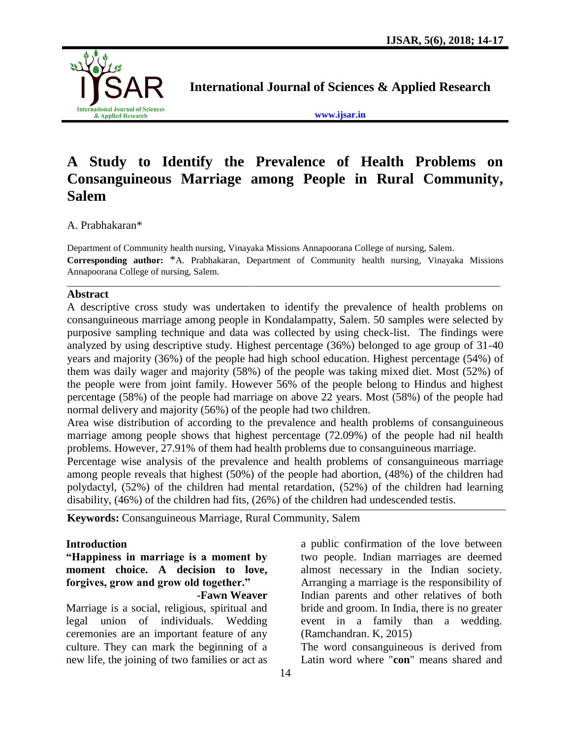

**International Journal of Sciences & Applied Research**

**[www.ijsar.in](http://www.ijsar.in/)**

# **A Study to Identify the Prevalence of Health Problems on Consanguineous Marriage among People in Rural Community, Salem**

A. Prabhakaran\*

Department of Community health nursing, Vinayaka Missions Annapoorana College of nursing, Salem. **Corresponding author:** \*A. Prabhakaran, Department of Community health nursing, Vinayaka Missions Annapoorana College of nursing, Salem.

\_\_\_\_\_\_\_\_\_\_\_\_\_\_\_\_\_\_\_\_\_\_\_\_\_\_\_\_\_\_\_\_\_\_\_\_\_\_\_\_\_\_\_\_\_\_\_\_\_\_\_\_\_\_\_\_\_\_\_\_\_\_\_\_\_\_\_\_\_\_\_\_\_\_\_\_\_\_\_\_\_\_\_\_\_\_\_\_\_\_\_\_\_

#### **Abstract**

A descriptive cross study was undertaken to identify the prevalence of health problems on consanguineous marriage among people in Kondalampatty, Salem. 50 samples were selected by purposive sampling technique and data was collected by using check-list. The findings were analyzed by using descriptive study. Highest percentage (36%) belonged to age group of 31-40 years and majority (36%) of the people had high school education. Highest percentage (54%) of them was daily wager and majority (58%) of the people was taking mixed diet. Most (52%) of the people were from joint family. However 56% of the people belong to Hindus and highest percentage (58%) of the people had marriage on above 22 years. Most (58%) of the people had normal delivery and majority (56%) of the people had two children.

Area wise distribution of according to the prevalence and health problems of consanguineous marriage among people shows that highest percentage (72.09%) of the people had nil health problems. However, 27.91% of them had health problems due to consanguineous marriage.

Percentage wise analysis of the prevalence and health problems of consanguineous marriage among people reveals that highest (50%) of the people had abortion, (48%) of the children had polydactyl, (52%) of the children had mental retardation, (52%) of the children had learning disability, (46%) of the children had fits, (26%) of the children had undescended testis.

**Keywords:** Consanguineous Marriage, Rural Community, Salem

# **Introduction**

**"Happiness in marriage is a moment by moment choice. A decision to love, forgives, grow and grow old together."**

**-Fawn Weaver**

Marriage is a social, religious, spiritual and legal union of individuals. Wedding ceremonies are an important feature of any culture. They can mark the beginning of a new life, the joining of two families or act as

a public confirmation of the love between two people. Indian marriages are deemed almost necessary in the Indian society. Arranging a marriage is the responsibility of Indian parents and other relatives of both bride and groom. In India, there is no greater event in a family than a wedding. (Ramchandran. K, 2015)

The word consanguineous is derived from Latin word where "**con**" means shared and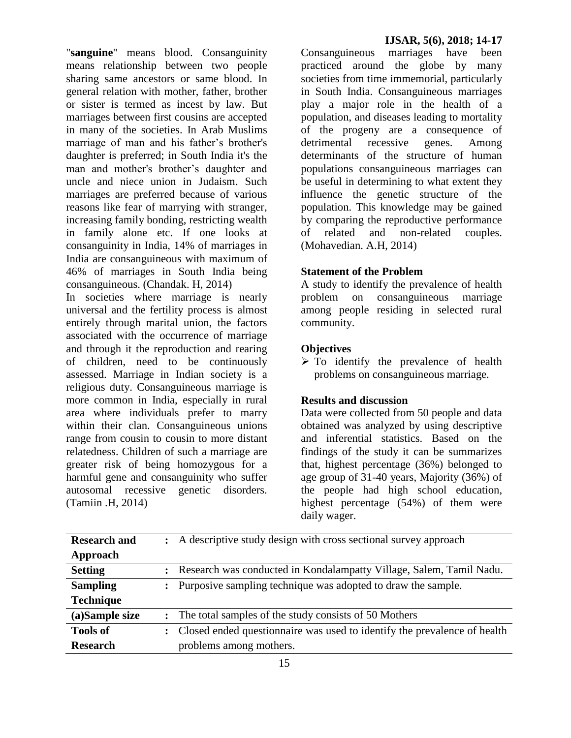"**sanguine**" means blood. Consanguinity means relationship between two people sharing same ancestors or same blood. In general relation with mother, father, brother or sister is termed as incest by law. But marriages between first cousins are accepted in many of the societies. In Arab Muslims marriage of man and his father's brother's daughter is preferred; in South India it's the man and mother's brother's daughter and uncle and niece union in Judaism. Such marriages are preferred because of various reasons like fear of marrying with stranger, increasing family bonding, restricting wealth in family alone etc. If one looks at consanguinity in India, 14% of marriages in India are consanguineous with maximum of 46% of marriages in South India being consanguineous. (Chandak. H, 2014)

In societies where marriage is nearly universal and the fertility process is almost entirely through marital union, the factors associated with the occurrence of marriage and through it the reproduction and rearing of children, need to be continuously assessed. Marriage in Indian society is a religious duty. Consanguineous marriage is more common in India, especially in rural area where individuals prefer to marry within their clan. Consanguineous unions range from cousin to cousin to more distant relatedness. Children of such a marriage are greater risk of being homozygous for a harmful gene and consanguinity who suffer autosomal recessive genetic disorders. (Tamiin .H, 2014)

Consanguineous marriages have been practiced around the globe by many societies from time immemorial, particularly in South India. Consanguineous marriages play a major role in the health of a population, and diseases leading to mortality of the progeny are a consequence of detrimental recessive genes. Among determinants of the structure of human populations consanguineous marriages can be useful in determining to what extent they influence the genetic structure of the population. This knowledge may be gained by comparing the reproductive performance of related and non-related couples. (Mohavedian. A.H, 2014)

# **Statement of the Problem**

A study to identify the prevalence of health problem on consanguineous marriage among people residing in selected rural community.

#### **Objectives**

 $\triangleright$  To identify the prevalence of health problems on consanguineous marriage.

#### **Results and discussion**

Data were collected from 50 people and data obtained was analyzed by using descriptive and inferential statistics. Based on the findings of the study it can be summarizes that, highest percentage (36%) belonged to age group of 31-40 years, Majority (36%) of the people had high school education, highest percentage (54%) of them were daily wager.

| <b>Research and</b> | : A descriptive study design with cross sectional survey approach              |  |  |  |
|---------------------|--------------------------------------------------------------------------------|--|--|--|
| Approach            |                                                                                |  |  |  |
| <b>Setting</b>      | : Research was conducted in Kondalampatty Village, Salem, Tamil Nadu.          |  |  |  |
| <b>Sampling</b>     | Purposive sampling technique was adopted to draw the sample.<br>$\ddot{\cdot}$ |  |  |  |
| <b>Technique</b>    |                                                                                |  |  |  |
| (a)Sample size      | : The total samples of the study consists of 50 Mothers                        |  |  |  |
| <b>Tools of</b>     | : Closed ended questionnaire was used to identify the prevalence of health     |  |  |  |
| <b>Research</b>     | problems among mothers.                                                        |  |  |  |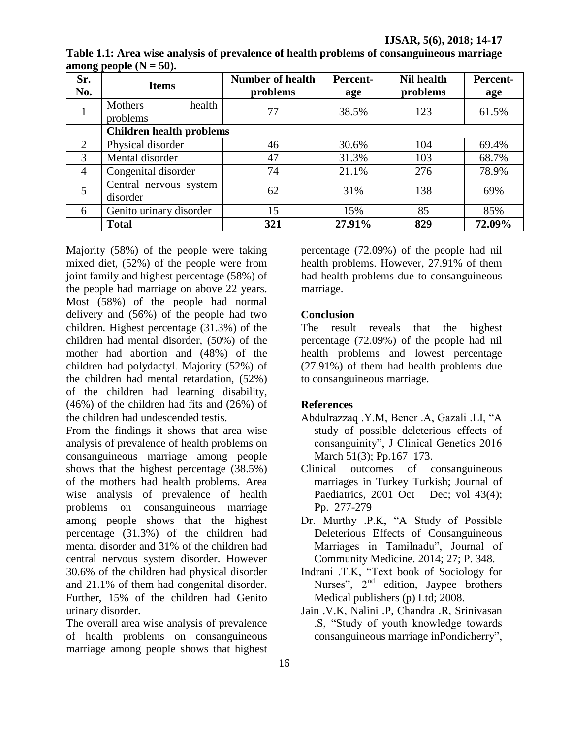| $\bullet$ .<br>Sr.<br>No. | <b>Items</b>                       | <b>Number of health</b><br>problems | Percent-<br>age | Nil health<br>problems | Percent-<br>age |  |  |
|---------------------------|------------------------------------|-------------------------------------|-----------------|------------------------|-----------------|--|--|
|                           | health<br>Mothers<br>problems      | 77                                  | 38.5%           | 123                    | 61.5%           |  |  |
|                           | <b>Children health problems</b>    |                                     |                 |                        |                 |  |  |
| 2                         | Physical disorder                  | 46                                  | 30.6%           | 104                    | 69.4%           |  |  |
| 3                         | Mental disorder                    | 47                                  | 31.3%           | 103                    | 68.7%           |  |  |
| $\overline{4}$            | Congenital disorder                | 74                                  | 21.1%           | 276                    | 78.9%           |  |  |
|                           | Central nervous system<br>disorder | 62                                  | 31%             | 138                    | 69%             |  |  |
| 6                         | Genito urinary disorder            | 15                                  | 15%             | 85                     | 85%             |  |  |
|                           | <b>Total</b>                       | 321                                 | 27.91%          | 829                    | 72.09%          |  |  |

**Table 1.1: Area wise analysis of prevalence of health problems of consanguineous marriage**  among people  $(N = 50)$ .

Majority (58%) of the people were taking mixed diet, (52%) of the people were from joint family and highest percentage (58%) of the people had marriage on above 22 years. Most (58%) of the people had normal delivery and (56%) of the people had two children. Highest percentage (31.3%) of the children had mental disorder, (50%) of the mother had abortion and (48%) of the children had polydactyl. Majority (52%) of the children had mental retardation, (52%) of the children had learning disability, (46%) of the children had fits and (26%) of the children had undescended testis.

From the findings it shows that area wise analysis of prevalence of health problems on consanguineous marriage among people shows that the highest percentage (38.5%) of the mothers had health problems. Area wise analysis of prevalence of health problems on consanguineous marriage among people shows that the highest percentage (31.3%) of the children had mental disorder and 31% of the children had central nervous system disorder. However 30.6% of the children had physical disorder and 21.1% of them had congenital disorder. Further, 15% of the children had Genito urinary disorder.

The overall area wise analysis of prevalence of health problems on consanguineous marriage among people shows that highest percentage (72.09%) of the people had nil health problems. However, 27.91% of them had health problems due to consanguineous marriage.

# **Conclusion**

The result reveals that the highest percentage (72.09%) of the people had nil health problems and lowest percentage (27.91%) of them had health problems due to consanguineous marriage.

# **References**

- Abdulrazzaq .Y.M, Bener .A, Gazali .LI, "A study of possible deleterious effects of consanguinity", J Clinical Genetics 2016 March 51(3); Pp.167-173.
- Clinical outcomes of consanguineous marriages in Turkey Turkish; Journal of Paediatrics,  $2001$  Oct – Dec; vol  $43(4)$ ; Pp. 277-279
- Dr. Murthy .P.K, "A Study of Possible Deleterious Effects of Consanguineous Marriages in Tamilnadu", Journal of Community Medicine. 2014; 27; P. 348.
- Indrani .T.K, "Text book of Sociology for Nurses",  $2^{nd}$  edition, Jaypee brothers Medical publishers (p) Ltd; 2008.
- Jain .V.K, Nalini .P, Chandra .R, Srinivasan .S, "Study of youth knowledge towards consanguineous marriage inPondicherry",